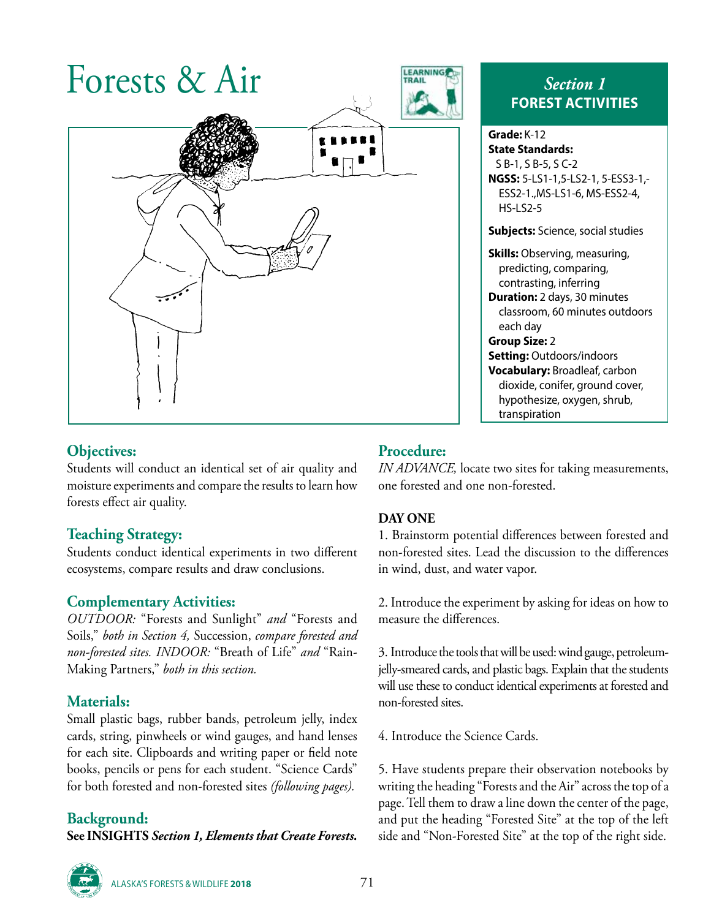

# **Objectives:**

Students will conduct an identical set of air quality and moisture experiments and compare the results to learn how forests effect air quality.

# **Teaching Strategy:**

Students conduct identical experiments in two different ecosystems, compare results and draw conclusions.

# **Complementary Activities:**

*OUTDOOR:* "Forests and Sunlight" *and* "Forests and Soils," *both in Section 4,* Succession, *compare forested and non-forested sites. INDOOR:* "Breath of Life" *and* "Rain-Making Partners," *both in this section.*

# **Materials:**

Small plastic bags, rubber bands, petroleum jelly, index cards, string, pinwheels or wind gauges, and hand lenses for each site. Clipboards and writing paper or field note books, pencils or pens for each student. "Science Cards" for both forested and non-forested sites *(following pages).*

# **Background:**

**See INSIGHTS** *Section 1, Elements that Create Forests.*

# **FOREST ACTIVITIES**

#### **Grade:** K-12 **State Standards:** S B-1, S B-5, S C-2 **NGSS:** 5-LS1-1,5-LS2-1, 5-ESS3-1,- ESS2-1.,MS-LS1-6, MS-ESS2-4, HS-LS2-5

**Subjects:** Science, social studies

**Skills:** Observing, measuring, predicting, comparing, contrasting, inferring **Duration:** 2 days, 30 minutes classroom, 60 minutes outdoors each day **Group Size:** 2

**Setting:** Outdoors/indoors **Vocabulary:** Broadleaf, carbon dioxide, conifer, ground cover, hypothesize, oxygen, shrub, transpiration

# **Procedure:**

*IN ADVANCE,* locate two sites for taking measurements, one forested and one non-forested.

#### **DAY ONE**

1. Brainstorm potential differences between forested and non-forested sites. Lead the discussion to the differences in wind, dust, and water vapor.

2. Introduce the experiment by asking for ideas on how to measure the differences.

3. Introduce the tools that will be used: wind gauge, petroleumjelly-smeared cards, and plastic bags. Explain that the students will use these to conduct identical experiments at forested and non-forested sites.

4. Introduce the Science Cards.

5. Have students prepare their observation notebooks by writing the heading "Forests and the Air" across the top of a page. Tell them to draw a line down the center of the page, and put the heading "Forested Site" at the top of the left side and "Non-Forested Site" at the top of the right side.



ALASKA'S FORESTS & WILDLIFE **<sup>2018</sup>** 71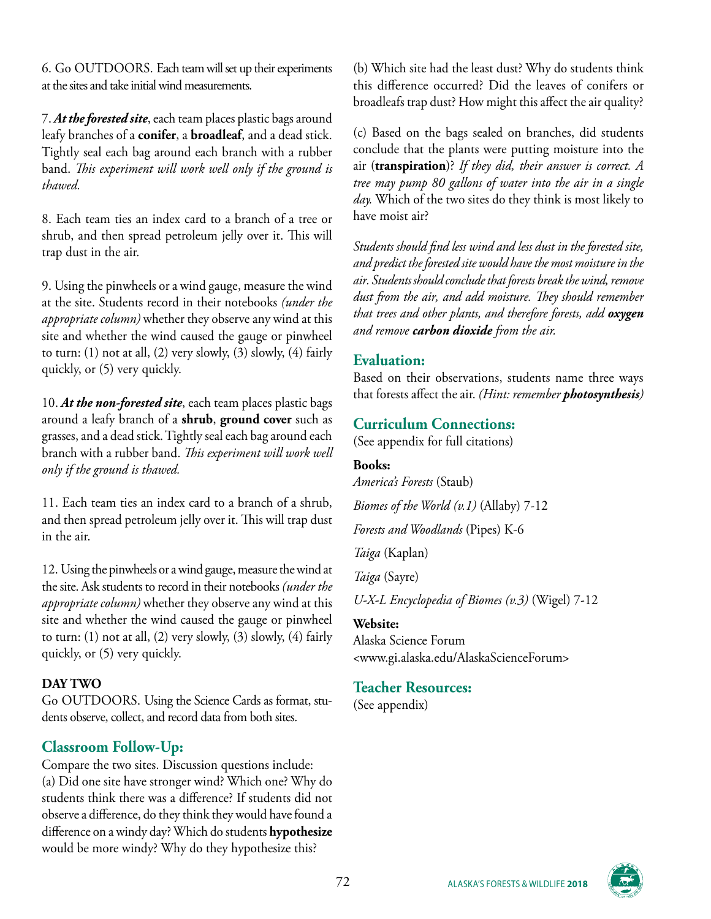6. Go OUTDOORS. Each team will set up their experiments at the sites and take initial wind measurements.

7. *At the forested site*, each team places plastic bags around leafy branches of a **conifer**, a **broadleaf**, and a dead stick. Tightly seal each bag around each branch with a rubber band. *This experiment will work well only if the ground is thawed.*

8. Each team ties an index card to a branch of a tree or shrub, and then spread petroleum jelly over it. This will trap dust in the air.

9. Using the pinwheels or a wind gauge, measure the wind at the site. Students record in their notebooks *(under the appropriate column)* whether they observe any wind at this site and whether the wind caused the gauge or pinwheel to turn:  $(1)$  not at all,  $(2)$  very slowly,  $(3)$  slowly,  $(4)$  fairly quickly, or (5) very quickly.

10. *At the non-forested site*, each team places plastic bags around a leafy branch of a **shrub**, **ground cover** such as grasses, and a dead stick. Tightly seal each bag around each branch with a rubber band. *This experiment will work well only if the ground is thawed.*

11. Each team ties an index card to a branch of a shrub, and then spread petroleum jelly over it. This will trap dust in the air.

12. Using the pinwheels or a wind gauge, measure the wind at the site. Ask students to record in their notebooks *(under the appropriate column)* whether they observe any wind at this site and whether the wind caused the gauge or pinwheel to turn: (1) not at all, (2) very slowly, (3) slowly, (4) fairly quickly, or (5) very quickly.

#### **DAY TWO**

Go OUTDOORS. Using the Science Cards as format, students observe, collect, and record data from both sites.

#### **Classroom Follow-Up:**

Compare the two sites. Discussion questions include: (a) Did one site have stronger wind? Which one? Why do students think there was a difference? If students did not observe a difference, do they think they would have found a difference on a windy day? Which do students **hypothesize** would be more windy? Why do they hypothesize this?

(b) Which site had the least dust? Why do students think this difference occurred? Did the leaves of conifers or broadleafs trap dust? How might this affect the air quality?

(c) Based on the bags sealed on branches, did students conclude that the plants were putting moisture into the air (**transpiration**)? *If they did, their answer is correct. A tree may pump 80 gallons of water into the air in a single day.* Which of the two sites do they think is most likely to have moist air?

*Students should find less wind and less dust in the forested site, and predict the forested site would have the most moisture in the air. Students should conclude that forests break the wind, remove dust from the air, and add moisture. They should remember that trees and other plants, and therefore forests, add oxygen and remove carbon dioxide from the air.*

#### **Evaluation:**

Based on their observations, students name three ways that forests affect the air. *(Hint: remember photosynthesis)*

#### **Curriculum Connections:**

(See appendix for full citations)

#### **Books:**

*America's Forests* (Staub) *Biomes of the World (v.1)* (Allaby) 7-12 *Forests and Woodlands* (Pipes) K-6 *Taiga* (Kaplan)

*Taiga* (Sayre)

*U-X-L Encyclopedia of Biomes (v.3)* (Wigel) 7-12

#### **Website:**

Alaska Science Forum <www.gi.alaska.edu/AlaskaScienceForum>

#### **Teacher Resources:**

(See appendix)